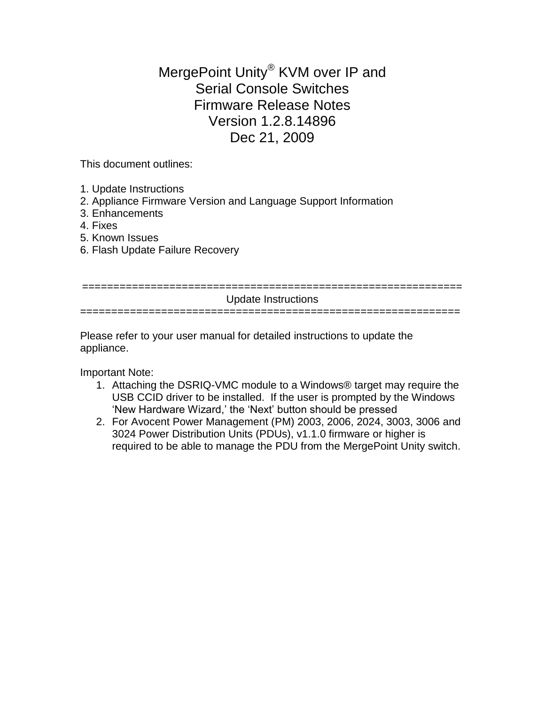MergePoint Unity® KVM over IP and Serial Console Switches Firmware Release Notes Version 1.2.8.14896 Dec 21, 2009

This document outlines:

- 1. Update Instructions
- 2. Appliance Firmware Version and Language Support Information
- 3. Enhancements
- 4. Fixes
- 5. Known Issues
- 6. Flash Update Failure Recovery

| Update Instructions |
|---------------------|
|                     |

Please refer to your user manual for detailed instructions to update the appliance.

Important Note:

- 1. Attaching the DSRIQ-VMC module to a Windows® target may require the USB CCID driver to be installed. If the user is prompted by the Windows "New Hardware Wizard," the "Next" button should be pressed
- 2. For Avocent Power Management (PM) 2003, 2006, 2024, 3003, 3006 and 3024 Power Distribution Units (PDUs), v1.1.0 firmware or higher is required to be able to manage the PDU from the MergePoint Unity switch.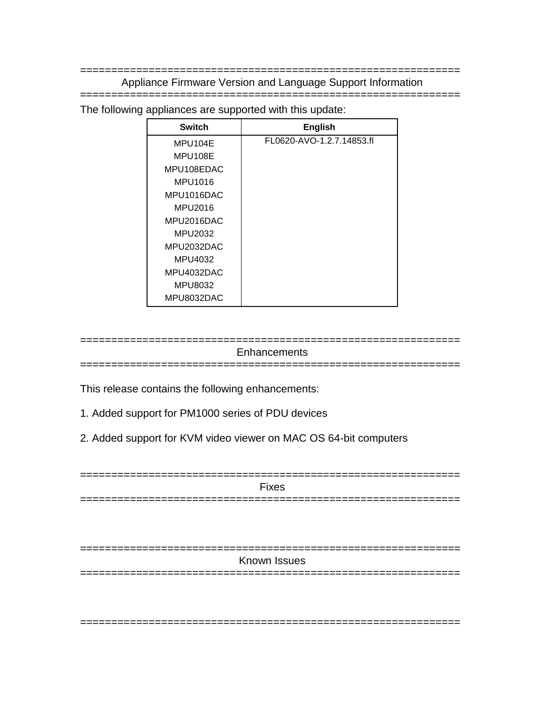============================================================= Appliance Firmware Version and Language Support Information

=============================================================

The following appliances are supported with this update:

| <b>Switch</b> | <b>English</b>            |
|---------------|---------------------------|
| MPU104E       | FL0620-AVO-1.2.7.14853.fl |
| MPU108E       |                           |
| MPU108EDAC    |                           |
| MPU1016       |                           |
| MPU1016DAC    |                           |
| MPU2016       |                           |
| MPU2016DAC    |                           |
| MPU2032       |                           |
| MPU2032DAC    |                           |
| MPU4032       |                           |
| MPU4032DAC    |                           |
| MPU8032       |                           |
| MPU8032DAC    |                           |

============================================================= **Enhancements** =============================================================

This release contains the following enhancements:

- 1. Added support for PM1000 series of PDU devices
- 2. Added support for KVM video viewer on MAC OS 64-bit computers

| <b>Fixes</b> |
|--------------|
| ___          |

| Known Issues |  |
|--------------|--|
|              |  |

=============================================================